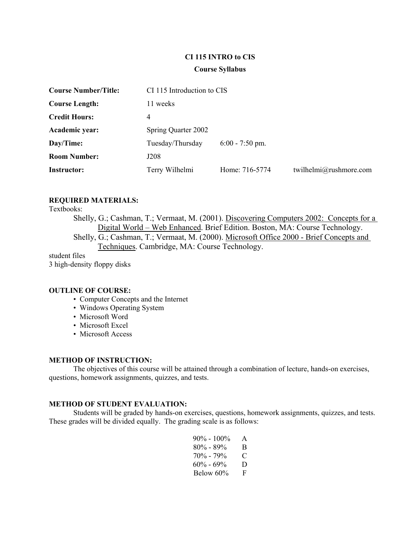### **CI 115 INTRO to CIS**

#### **Course Syllabus**

| <b>Course Number/Title:</b> | CI 115 Introduction to CIS |                   |                        |
|-----------------------------|----------------------------|-------------------|------------------------|
| <b>Course Length:</b>       | 11 weeks                   |                   |                        |
| <b>Credit Hours:</b>        | 4                          |                   |                        |
| Academic year:              | Spring Quarter 2002        |                   |                        |
| Day/Time:                   | Tuesday/Thursday           | $6:00 - 7:50$ pm. |                        |
| <b>Room Number:</b>         | J208                       |                   |                        |
| <b>Instructor:</b>          | Terry Wilhelmi             | Home: 716-5774    | twilhelmi@rushmore.com |

## **REQUIRED MATERIALS:**

Textbooks:

Shelly, G.; Cashman, T.; Vermaat, M. (2001). Discovering Computers 2002: Concepts for a Digital World – Web Enhanced. Brief Edition. Boston, MA: Course Technology. Shelly, G.; Cashman, T.; Vermaat, M. (2000). Microsoft Office 2000 - Brief Concepts and Techniques. Cambridge, MA: Course Technology.

student files

3 high-density floppy disks

#### **OUTLINE OF COURSE:**

- Computer Concepts and the Internet
- Windows Operating System
- Microsoft Word
- Microsoft Excel
- Microsoft Access

#### **METHOD OF INSTRUCTION:**

 The objectives of this course will be attained through a combination of lecture, hands-on exercises, questions, homework assignments, quizzes, and tests.

## **METHOD OF STUDENT EVALUATION:**

 Students will be graded by hands-on exercises, questions, homework assignments, quizzes, and tests. These grades will be divided equally. The grading scale is as follows:

| $90\% - 100\%$ | A |
|----------------|---|
| $80\% - 89\%$  | B |
| $70\% - 79\%$  | € |
| $60\% - 69\%$  | D |
| Below 60%      | F |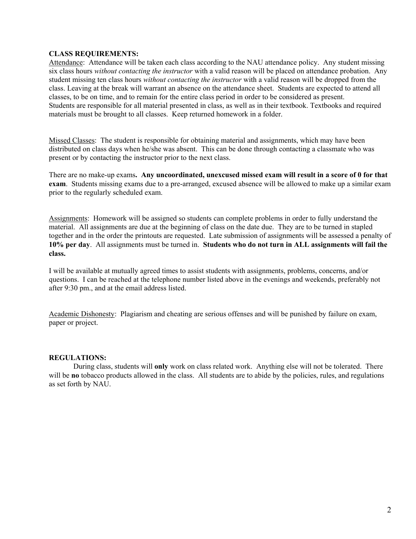## **CLASS REQUIREMENTS:**

Attendance: Attendance will be taken each class according to the NAU attendance policy. Any student missing six class hours *without contacting the instructor* with a valid reason will be placed on attendance probation. Any student missing ten class hours *without contacting the instructor* with a valid reason will be dropped from the class. Leaving at the break will warrant an absence on the attendance sheet. Students are expected to attend all classes, to be on time, and to remain for the entire class period in order to be considered as present. Students are responsible for all material presented in class, as well as in their textbook. Textbooks and required materials must be brought to all classes. Keep returned homework in a folder.

Missed Classes: The student is responsible for obtaining material and assignments, which may have been distributed on class days when he/she was absent. This can be done through contacting a classmate who was present or by contacting the instructor prior to the next class.

There are no make-up exams**. Any uncoordinated, unexcused missed exam will result in a score of 0 for that exam**. Students missing exams due to a pre-arranged, excused absence will be allowed to make up a similar exam prior to the regularly scheduled exam.

Assignments: Homework will be assigned so students can complete problems in order to fully understand the material. All assignments are due at the beginning of class on the date due. They are to be turned in stapled together and in the order the printouts are requested. Late submission of assignments will be assessed a penalty of **10% per day**. All assignments must be turned in. **Students who do not turn in ALL assignments will fail the class.**

I will be available at mutually agreed times to assist students with assignments, problems, concerns, and/or questions. I can be reached at the telephone number listed above in the evenings and weekends, preferably not after 9:30 pm., and at the email address listed.

Academic Dishonesty: Plagiarism and cheating are serious offenses and will be punished by failure on exam, paper or project.

## **REGULATIONS:**

 During class, students will **only** work on class related work. Anything else will not be tolerated. There will be **no** tobacco products allowed in the class. All students are to abide by the policies, rules, and regulations as set forth by NAU.